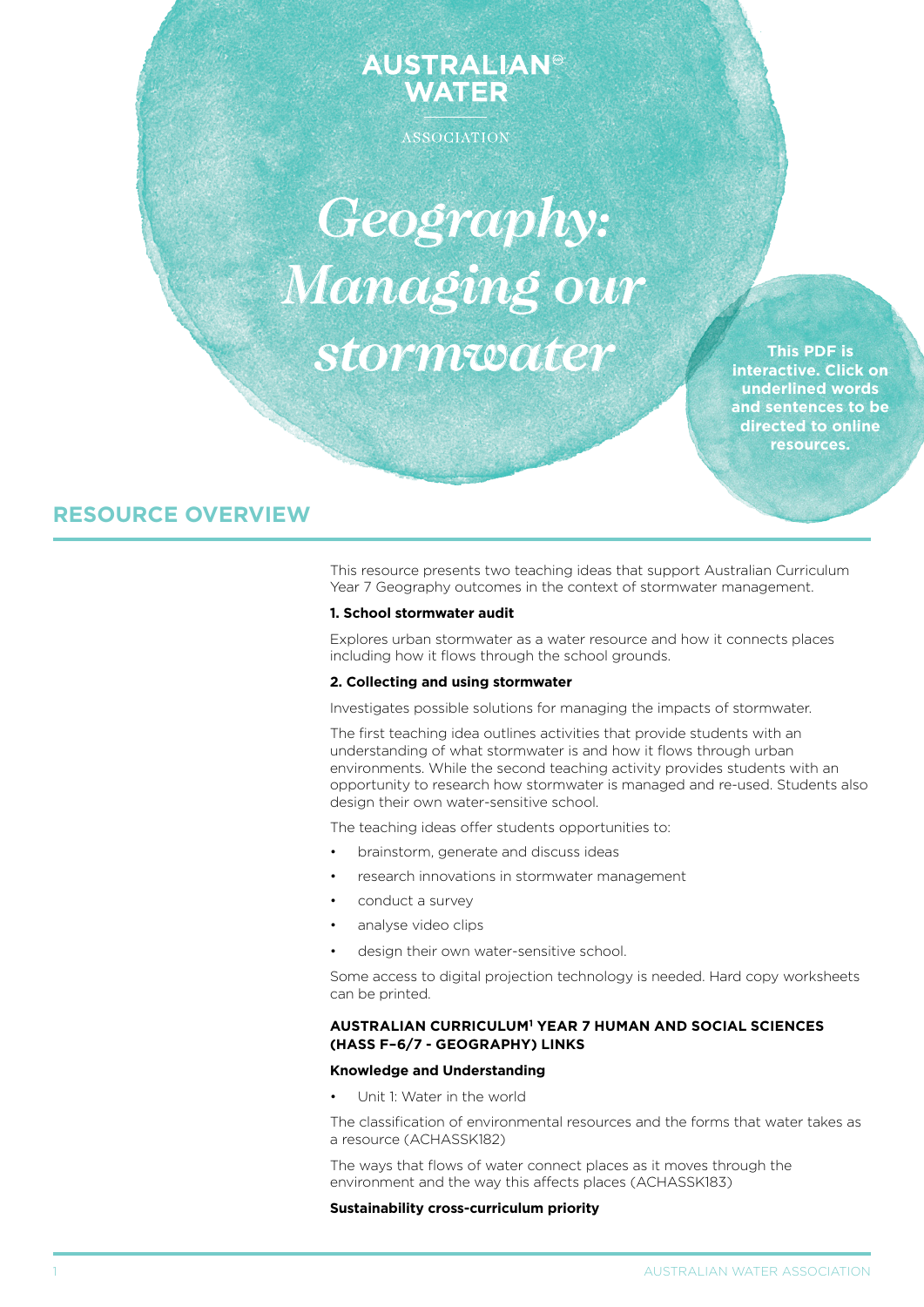# **AUSTRALIAN® WATER**

ASSOCIATION

*Geography: Managing our stormwater*

**This PDF is interactive. Click on underlined words and sentences to be directed to online resources.**

# **RESOURCE OVERVIEW**

This resource presents two teaching ideas that support Australian Curriculum Year 7 Geography outcomes in the context of stormwater management.

# **1. School stormwater audit**

Explores urban stormwater as a water resource and how it connects places including how it flows through the school grounds.

#### **2. Collecting and using stormwater**

Investigates possible solutions for managing the impacts of stormwater.

The first teaching idea outlines activities that provide students with an understanding of what stormwater is and how it flows through urban environments. While the second teaching activity provides students with an opportunity to research how stormwater is managed and re-used. Students also design their own water-sensitive school.

The teaching ideas offer students opportunities to:

- brainstorm, generate and discuss ideas
- research innovations in stormwater management
- conduct a survey
- analyse video clips
- design their own water-sensitive school.

Some access to digital projection technology is needed. Hard copy worksheets can be printed.

# **AUStralian curriculum1 Year 7 Human and Social Sciences (HASS F–6/7 - Geography) links**

#### **Knowledge and Understanding**

Unit 1: Water in the world

The classification of environmental resources and the forms that water takes as a resource (ACHASSK182)

The ways that flows of water connect places as it moves through the environment and the way this affects places (ACHASSK183)

# **Sustainability cross-curriculum priority**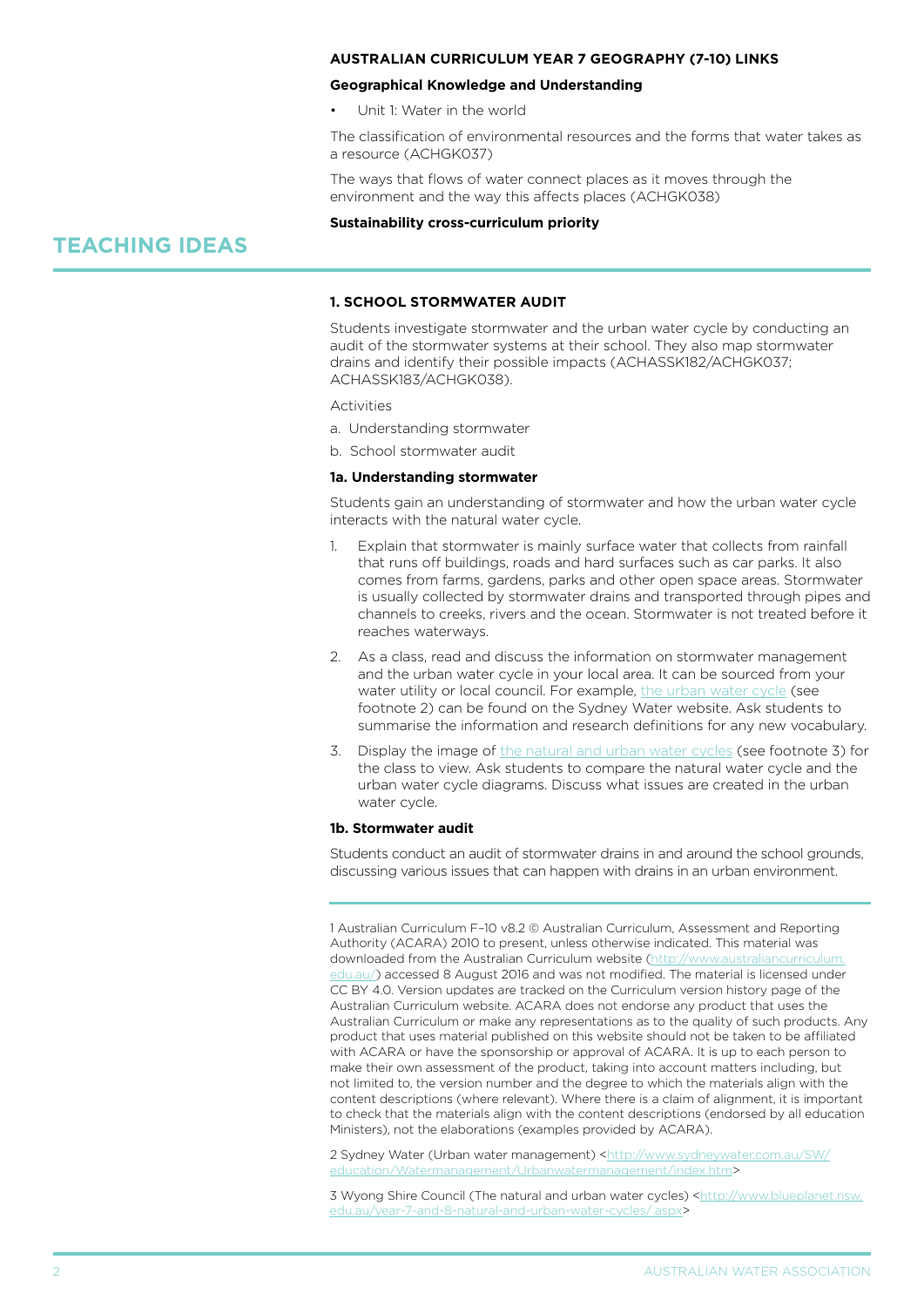# **AUStralian curriculum Year 7 Geography (7-10) links**

#### **Geographical Knowledge and Understanding**

Unit 1: Water in the world

The classification of environmental resources and the forms that water takes as a resource (ACHGK037)

The ways that flows of water connect places as it moves through the environment and the way this affects places (ACHGK038)

#### **Sustainability cross-curriculum priority**

# **TEACHING IDEAS**

# **1. School stormwater audit**

Students investigate stormwater and the urban water cycle by conducting an audit of the stormwater systems at their school. They also map stormwater drains and identify their possible impacts (ACHASSK182/ACHGK037; ACHASSK183/ACHGK038).

**Activities** 

- a. Understanding stormwater
- b. School stormwater audit

# **1a. Understanding stormwater**

Students gain an understanding of stormwater and how the urban water cycle interacts with the natural water cycle.

- 1. Explain that stormwater is mainly surface water that collects from rainfall that runs off buildings, roads and hard surfaces such as car parks. It also comes from farms, gardens, parks and other open space areas. Stormwater is usually collected by stormwater drains and transported through pipes and channels to creeks, rivers and the ocean. Stormwater is not treated before it reaches waterways.
- 2. As a class, read and discuss the information on stormwater management and the urban water cycle in your local area. It can be sourced from your water utility or local council. For example, [the urban water cycle](http://www.sydneywater.com.au/SW/education/Watermanagement/Urbanwatermanagement/index.htm) (see footnote 2) can be found on the Sydney Water website. Ask students to summarise the information and research definitions for any new vocabulary.
- 3. Display the image of [the natural and urban water cycles](http://www.blueplanet.nsw.edu.au/year-7-and-8-natural-and-urban-water-cycles/.aspx) (see footnote 3) for the class to view. Ask students to compare the natural water cycle and the urban water cycle diagrams. Discuss what issues are created in the urban water cycle.

#### **1b. Stormwater audit**

Students conduct an audit of stormwater drains in and around the school grounds, discussing various issues that can happen with drains in an urban environment.

1 Australian Curriculum F–10 v8.2 © Australian Curriculum, Assessment and Reporting Authority (ACARA) 2010 to present, unless otherwise indicated. This material was downloaded from the Australian Curriculum website ([http://www.australiancurriculum.](http://www.australiancurriculum.edu.au/) [edu.au/](http://www.australiancurriculum.edu.au/)) accessed 8 August 2016 and was not modified. The material is licensed under CC BY 4.0. Version updates are tracked on the Curriculum version history page of the Australian Curriculum website. ACARA does not endorse any product that uses the Australian Curriculum or make any representations as to the quality of such products. Any product that uses material published on this website should not be taken to be affiliated with ACARA or have the sponsorship or approval of ACARA. It is up to each person to make their own assessment of the product, taking into account matters including, but not limited to, the version number and the degree to which the materials align with the content descriptions (where relevant). Where there is a claim of alignment, it is important to check that the materials align with the content descriptions (endorsed by all education Ministers), not the elaborations (examples provided by ACARA).

2 Sydney Water (Urban water management) [<http://www.sydneywater.com.au/SW/](http://www.sydneywater.com.au/SW/education/Watermanagement/Urbanwatermanagement/index.htm) cation/Watermanagement/Urbanwatermanagement/index.htm>

3 Wyong Shire Council (The natural and urban water cycles) [<http://www.blueplanet.nsw.](http://www.blueplanet.nsw.edu.au/year-7-and-8-natural-and-urban-water-cycles/.aspx) [edu.au/year-7-and-8-natural-and-urban-water-cycles/.aspx>](http://www.blueplanet.nsw.edu.au/year-7-and-8-natural-and-urban-water-cycles/.aspx)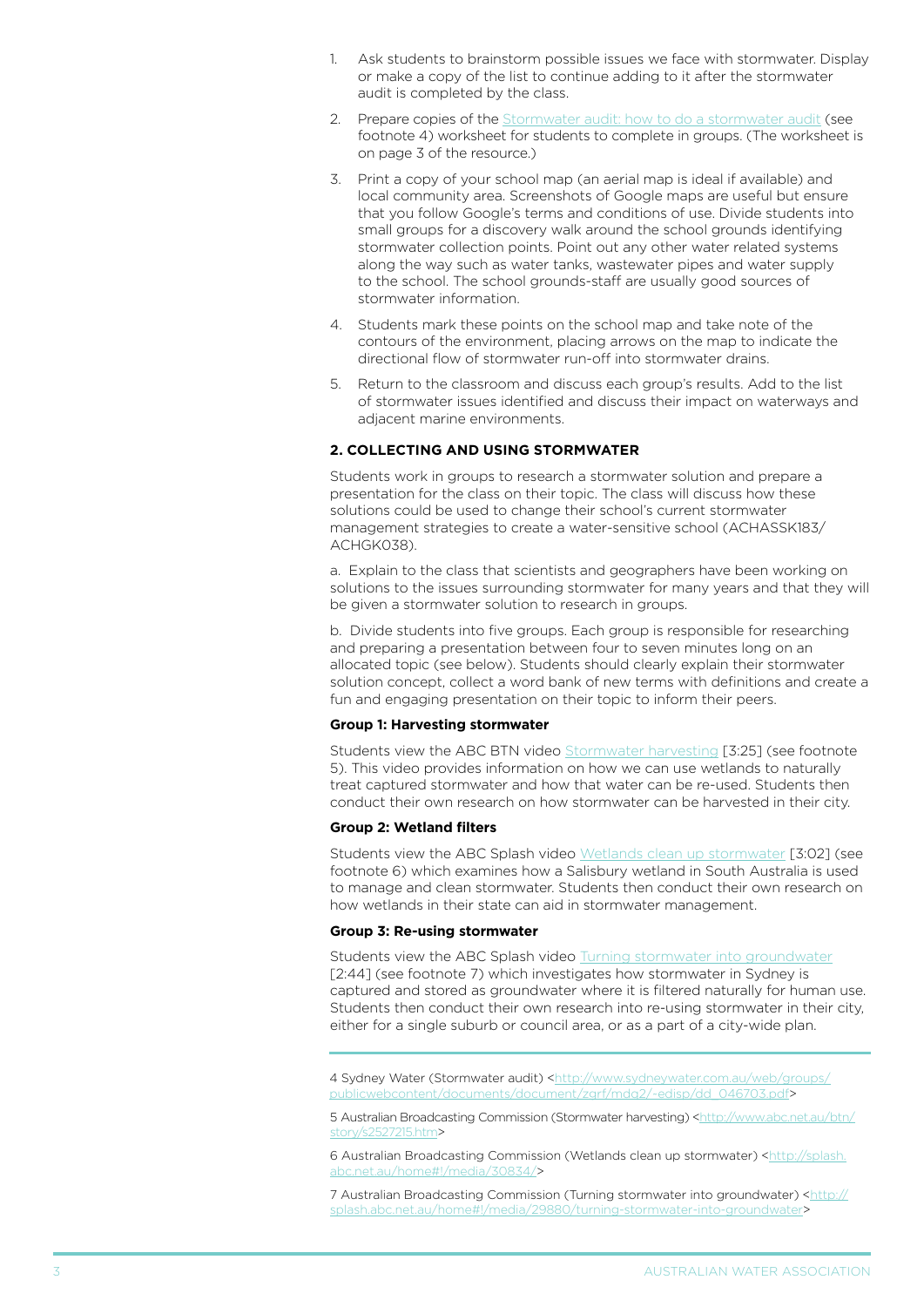- 1. Ask students to brainstorm possible issues we face with stormwater. Display or make a copy of the list to continue adding to it after the stormwater audit is completed by the class.
- 2. Prepare copies of the [Stormwater audit: how to do a stormwater audit](http://www.sydneywater.com.au/web/groups/publicwebcontent/documents/document/zgrf/mdq2/~edisp/dd_046703.pdf) (see footnote 4) worksheet for students to complete in groups. (The worksheet is on page 3 of the resource.)
- 3. Print a copy of your school map (an aerial map is ideal if available) and local community area. Screenshots of Google maps are useful but ensure that you follow Google's terms and conditions of use. Divide students into small groups for a discovery walk around the school grounds identifying stormwater collection points. Point out any other water related systems along the way such as water tanks, wastewater pipes and water supply to the school. The school grounds-staff are usually good sources of stormwater information.
- 4. Students mark these points on the school map and take note of the contours of the environment, placing arrows on the map to indicate the directional flow of stormwater run-off into stormwater drains.
- 5. Return to the classroom and discuss each group's results. Add to the list of stormwater issues identified and discuss their impact on waterways and adjacent marine environments.

# **2. collecting and using stormwater**

Students work in groups to research a stormwater solution and prepare a presentation for the class on their topic. The class will discuss how these solutions could be used to change their school's current stormwater management strategies to create a water-sensitive school (ACHASSK183/ ACHGK038).

a. Explain to the class that scientists and geographers have been working on solutions to the issues surrounding stormwater for many years and that they will be given a stormwater solution to research in groups.

b. Divide students into five groups. Each group is responsible for researching and preparing a presentation between four to seven minutes long on an allocated topic (see below). Students should clearly explain their stormwater solution concept, collect a word bank of new terms with definitions and create a fun and engaging presentation on their topic to inform their peers.

#### **Group 1: Harvesting stormwater**

Students view the ABC BTN video [Stormwater harvesting](http://www.abc.net.au/btn/story/s2527215.htm) [3:25] (see footnote 5). This video provides information on how we can use wetlands to naturally treat captured stormwater and how that water can be re-used. Students then conduct their own research on how stormwater can be harvested in their city.

#### **Group 2: Wetland filters**

Students view the ABC Splash video [Wetlands clean up stormwater](http://splash.abc.net.au/home#!/media/30834/) [3:02] (see footnote 6) which examines how a Salisbury wetland in South Australia is used to manage and clean stormwater. Students then conduct their own research on how wetlands in their state can aid in stormwater management.

#### **Group 3: Re-using stormwater**

Students view the ABC Splash video [Turning stormwater into groundwater](http://splash.abc.net.au/home#!/media/29880/turning-stormwater-into-groundwater) [2:44] (see footnote 7) which investigates how stormwater in Sydney is captured and stored as groundwater where it is filtered naturally for human use. Students then conduct their own research into re-using stormwater in their city, either for a single suburb or council area, or as a part of a city-wide plan.

4 Sydney Water (Stormwater audit) [<http://www.sydneywater.com.au/web/groups/](http://www.sydneywater.com.au/web/groups/publicwebcontent/documents/document/zgrf/mdq2/~edisp/dd_046703.pdf) [publicwebcontent/documents/document/zgrf/mdq2/~edisp/dd\\_046703.pdf>](http://www.sydneywater.com.au/web/groups/publicwebcontent/documents/document/zgrf/mdq2/~edisp/dd_046703.pdf)

5 Australian Broadcasting Commission (Stormwater harvesting) [<http://www.abc.net.au/btn/](http://www.abc.net.au/btn/story/s2527215.htm) s2527215.htm>

6 Australian Broadcasting Commission (Wetlands clean up stormwater) <[http://splash.](http://splash.abc.net.au/home#!/media/30834/) [abc.net.au/home#!/media/30834/>](http://splash.abc.net.au/home#!/media/30834/)

7 Australian Broadcasting Commission (Turning stormwater into groundwater) [<http://](http://splash.abc.net.au/home#!/media/29880/turning-stormwater-into-groundwater) [splash.abc.net.au/home#!/media/29880/turning-stormwater-into-groundwater](http://splash.abc.net.au/home#!/media/29880/turning-stormwater-into-groundwater)>